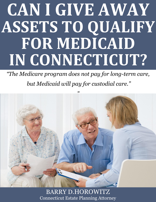# **CAN I GIVE AWAY ASSETS TO QUALIFY FOR MEDICAID IN CONNECTICUT?**

*"The Medicare program does not pay for long-term care,*

*but Medicaid will pay for custodial care."*



**What is the Marital Estate Planning Attorney.**  $\blacksquare$  **www.preserveyourestate.net** BARRY D.HOROWITZ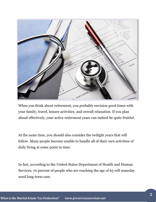

When you think about retirement, you probably envision good times with your family, travel, leisure activities, and overall relaxation. If you plan ahead effectively, your active retirement years can indeed be quite fruitful.

At the same time, you should also consider the twilight years that will follow. Many people become unable to handle all of their own activities of daily living at some point in time.

In fact, according to the United States Department of Health and Human Services, 70 percent of people who are reaching the age of 65 will someday need long-term care.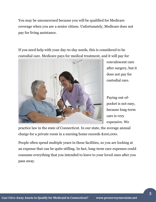You may be unconcerned because you will be qualified for Medicare coverage when you are a senior citizen. Unfortunately, Medicare does not pay for living assistance.

If you need help with your day-to-day needs, this is considered to be custodial care. Medicare pays for medical treatment, and it will pay for



convalescent care after surgery, but it does not pay for custodial care.

Paying out-ofpocket is not easy, because long-term care is very expensive. We

practice law in the state of Connecticut. In our state, the average annual charge for a private room in a nursing home exceeds \$100,000.

People often spend multiple years in these facilities, so you are looking at an expense that can be quite stifling. In fact, long-term care expenses could consume everything that you intended to leave to your loved ones after you pass away.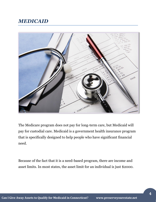# *MEDICAID*



The Medicare program does not pay for long-term care, but Medicaid will pay for custodial care. Medicaid is a government health insurance program that is specifically designed to help people who have significant financial need.

Because of the fact that it is a need-based program, there are income and asset limits. In most states, the asset limit for an individual is just \$2000.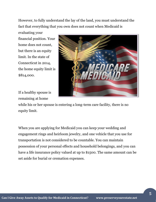However, to fully understand the lay of the land, you must understand the fact that everything that you own does not count when Medicaid is

evaluating your financial position. Your home does not count, but there is an equity limit. In the state of Connecticut in 2014, the home equity limit is \$814,000.

If a healthy spouse is remaining at home



while his or her spouse is entering a long-term care facility, there is no equity limit.

When you are applying for Medicaid you can keep your wedding and engagement rings and heirloom jewelry, and one vehicle that you use for transportation is not considered to be countable. You can maintain possession of your personal effects and household belongings, and you can have a life insurance policy valued at up to \$1500. The same amount can be set aside for burial or cremation expenses.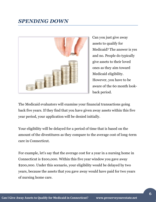

Can you just give away assets to qualify for Medicaid? The answer is yes and no. People do typically give assets to their loved ones as they aim toward Medicaid eligibility. However, you have to be aware of the 60 month lookback period.

The Medicaid evaluators will examine your financial transactions going back five years. If they find that you have given away assets within this five year period, your application will be denied initially.

Your eligibility will be delayed for a period of time that is based on the amount of the divestitures as they compare to the average cost of long-term care in Connecticut.

For example, let's say that the average cost for a year in a nursing home in Connecticut is \$100,000. Within this five year window you gave away \$200,000. Under this scenario, your eligibility would be delayed by two years, because the assets that you gave away would have paid for two years of nursing home care.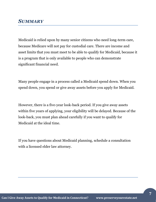### *SUMMARY*

Medicaid is relied upon by many senior citizens who need long-term care, because Medicare will not pay for custodial care. There are income and asset limits that you must meet to be able to qualify for Medicaid, because it is a program that is only available to people who can demonstrate significant financial need.

Many people engage in a process called a Medicaid spend down. When you spend down, you spend or give away assets before you apply for Medicaid.

However, there is a five-year look-back period. If you give away assets within five years of applying, your eligibility will be delayed. Because of the look-back, you must plan ahead carefully if you want to qualify for Medicaid at the ideal time.

If you have questions about Medicaid planning, schedule a consultation with a licensed elder law attorney.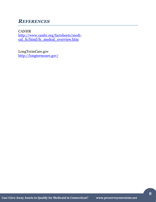## *REFERENCES*

CANHR [http://www.canhr.org/factsheets/medi](http://www.canhr.org/factsheets/medi-cal_fs/html/fs_medcal_overview.htm)[cal\\_fs/html/fs\\_medcal\\_overview.htm](http://www.canhr.org/factsheets/medi-cal_fs/html/fs_medcal_overview.htm)

LongTermCare.gov <http://longtermcare.gov/>